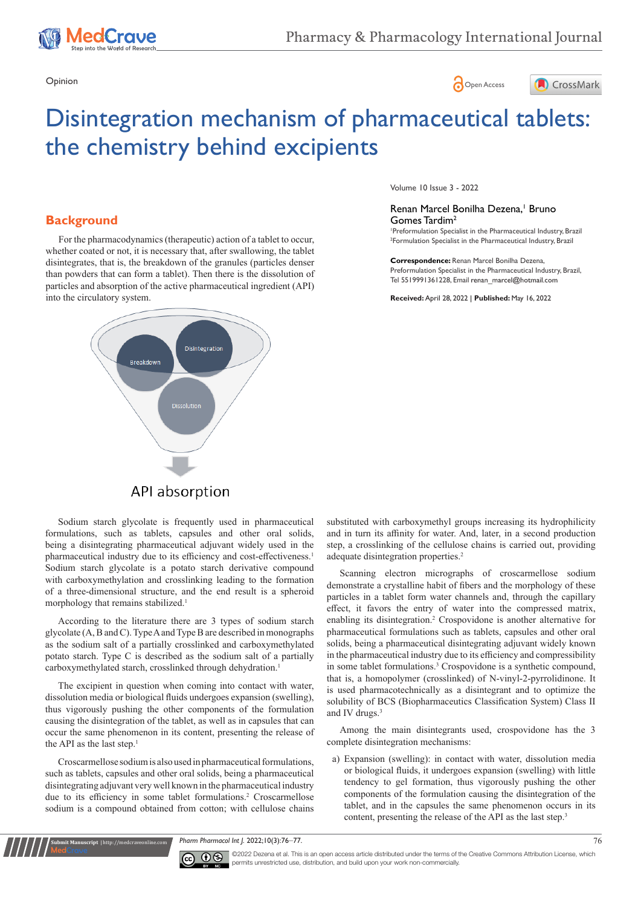





# Disintegration mechanism of pharmaceutical tablets: the chemistry behind excipients

# **Background**

For the pharmacodynamics (therapeutic) action of a tablet to occur, whether coated or not, it is necessary that, after swallowing, the tablet disintegrates, that is, the breakdown of the granules (particles denser than powders that can form a tablet). Then there is the dissolution of particles and absorption of the active pharmaceutical ingredient (API) into the circulatory system.



Volume 10 Issue 3 - 2022

#### Renan Marcel Bonilha Dezena,<sup>1</sup> Bruno Gomes Tardim2

1 Preformulation Specialist in the Pharmaceutical Industry, Brazil 2 Formulation Specialist in the Pharmaceutical Industry, Brazil

**Correspondence:** Renan Marcel Bonilha Dezena, Preformulation Specialist in the Pharmaceutical Industry, Brazil, Tel 5519991361228, Email renan\_marcel@hotmail.com

**Received:** April 28, 2022 | **Published:** May 16, 2022

# API absorption

Sodium starch glycolate is frequently used in pharmaceutical formulations, such as tablets, capsules and other oral solids, being a disintegrating pharmaceutical adjuvant widely used in the pharmaceutical industry due to its efficiency and cost-effectiveness.<sup>1</sup> Sodium starch glycolate is a potato starch derivative compound with carboxymethylation and crosslinking leading to the formation of a three-dimensional structure, and the end result is a spheroid morphology that remains stabilized.<sup>1</sup>

According to the literature there are 3 types of sodium starch glycolate (A, B and C). Type A and Type B are described in monographs as the sodium salt of a partially crosslinked and carboxymethylated potato starch. Type C is described as the sodium salt of a partially carboxymethylated starch, crosslinked through dehydration.<sup>1</sup>

The excipient in question when coming into contact with water, dissolution media or biological fluids undergoes expansion (swelling), thus vigorously pushing the other components of the formulation causing the disintegration of the tablet, as well as in capsules that can occur the same phenomenon in its content, presenting the release of the API as the last step.<sup>1</sup>

Croscarmellose sodium is also used in pharmaceutical formulations, such as tablets, capsules and other oral solids, being a pharmaceutical disintegrating adjuvant very well known in the pharmaceutical industry due to its efficiency in some tablet formulations.<sup>2</sup> Croscarmellose sodium is a compound obtained from cotton; with cellulose chains

**Manuscript** | http://medcraveonline.com

substituted with carboxymethyl groups increasing its hydrophilicity and in turn its affinity for water. And, later, in a second production step, a crosslinking of the cellulose chains is carried out, providing adequate disintegration properties.<sup>2</sup>

Scanning electron micrographs of croscarmellose sodium demonstrate a crystalline habit of fibers and the morphology of these particles in a tablet form water channels and, through the capillary effect, it favors the entry of water into the compressed matrix, enabling its disintegration.<sup>2</sup> Crospovidone is another alternative for pharmaceutical formulations such as tablets, capsules and other oral solids, being a pharmaceutical disintegrating adjuvant widely known in the pharmaceutical industry due to its efficiency and compressibility in some tablet formulations.<sup>3</sup> Crospovidone is a synthetic compound, that is, a homopolymer (crosslinked) of N-vinyl-2-pyrrolidinone. It is used pharmacotechnically as a disintegrant and to optimize the solubility of BCS (Biopharmaceutics Classification System) Class II and IV drugs.<sup>3</sup>

Among the main disintegrants used, crospovidone has the 3 complete disintegration mechanisms:

a) Expansion (swelling): in contact with water, dissolution media or biological fluids, it undergoes expansion (swelling) with little tendency to gel formation, thus vigorously pushing the other components of the formulation causing the disintegration of the tablet, and in the capsules the same phenomenon occurs in its content, presenting the release of the API as the last step.<sup>3</sup>

*Pharm Pharmacol Int J.* 2022;10(3):76‒77. 76



©2022 Dezena et al. This is an open access article distributed under the terms of the Creative Commons Attribution License, which permits unrestricted use, distribution, and build upon your work non-commercially.